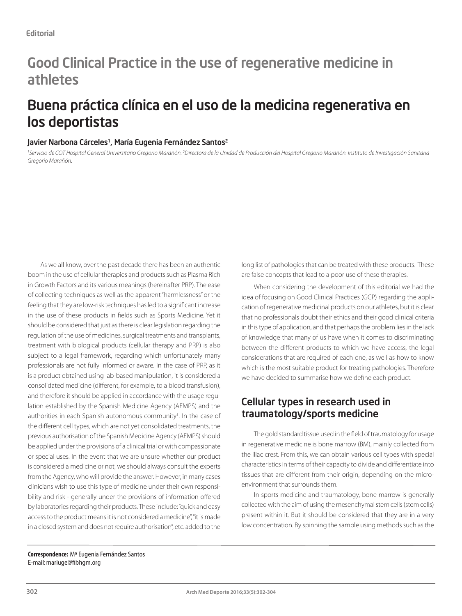## Good Clinical Practice in the use of regenerative medicine in athletes

## Buena práctica clínica en el uso de la medicina regenerativa en los deportistas

#### Javier Narbona Cárceles<sup>1</sup>, María Eugenia Fernández Santos<sup>2</sup>

<sup>1</sup>Servicio de COT Hospital General Universitario Gregorio Marañón. <sup>2</sup>Directora de la Unidad de Producción del Hospital Gregorio Marañón. Instituto de Investigación Sanitaria *Gregorio Marañón.*

As we all know, over the past decade there has been an authentic boom in the use of cellular therapies and products such as Plasma Rich in Growth Factors and its various meanings (hereinafter PRP). The ease of collecting techniques as well as the apparent "harmlessness" or the feeling that they are low-risk techniques has led to a significant increase in the use of these products in fields such as Sports Medicine. Yet it should be considered that just as there is clear legislation regarding the regulation of the use of medicines, surgical treatments and transplants, treatment with biological products (cellular therapy and PRP) is also subject to a legal framework, regarding which unfortunately many professionals are not fully informed or aware. In the case of PRP, as it is a product obtained using lab-based manipulation, it is considered a consolidated medicine (different, for example, to a blood transfusion), and therefore it should be applied in accordance with the usage regulation established by the Spanish Medicine Agency (AEMPS) and the authorities in each Spanish autonomous community<sup>1</sup>. In the case of the different cell types, which are not yet consolidated treatments, the previous authorisation of the Spanish Medicine Agency (AEMPS) should be applied under the provisions of a clinical trial or with compassionate or special uses. In the event that we are unsure whether our product is considered a medicine or not, we should always consult the experts from the Agency, who will provide the answer. However, in many cases clinicians wish to use this type of medicine under their own responsibility and risk - generally under the provisions of information offered by laboratories regarding their products. These include: "quick and easy access to the product means it is not considered a medicine", "it is made in a closed system and does not require authorisation", etc. added to the

long list of pathologies that can be treated with these products. These are false concepts that lead to a poor use of these therapies.

When considering the development of this editorial we had the idea of focusing on Good Clinical Practices (GCP) regarding the application of regenerative medicinal products on our athletes, but it is clear that no professionals doubt their ethics and their good clinical criteria in this type of application, and that perhaps the problem lies in the lack of knowledge that many of us have when it comes to discriminating between the different products to which we have access, the legal considerations that are required of each one, as well as how to know which is the most suitable product for treating pathologies. Therefore we have decided to summarise how we define each product.

#### Cellular types in research used in traumatology/sports medicine

The gold standard tissue used in the field of traumatology for usage in regenerative medicine is bone marrow (BM), mainly collected from the iliac crest. From this, we can obtain various cell types with special characteristics in terms of their capacity to divide and differentiate into tissues that are different from their origin, depending on the microenvironment that surrounds them.

In sports medicine and traumatology, bone marrow is generally collected with the aim of using the mesenchymal stem cells (stem cells) present within it. But it should be considered that they are in a very low concentration. By spinning the sample using methods such as the

**Correspondence:** Mª Eugenia Fernández Santos E-mail: mariuge@fibhgm.org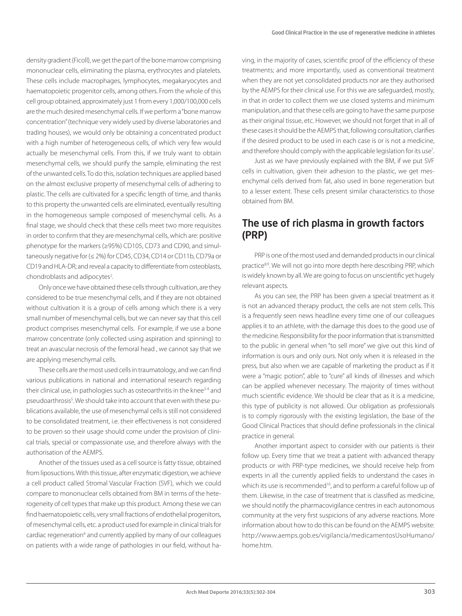density gradient (Ficoll), we get the part of the bone marrow comprising mononuclear cells, eliminating the plasma, erythrocytes and platelets. These cells include macrophages, lymphocytes, megakaryocytes and haematopoietic progenitor cells, among others. From the whole of this cell group obtained, approximately just 1 from every 1,000/100,000 cells are the much desired mesenchymal cells. If we perform a "bone marrow concentration" (technique very widely used by diverse laboratories and trading houses), we would only be obtaining a concentrated product with a high number of heterogeneous cells, of which very few would actually be mesenchymal cells. From this, if we truly want to obtain mesenchymal cells, we should purify the sample, eliminating the rest of the unwanted cells. To do this, isolation techniques are applied based on the almost exclusive property of mesenchymal cells of adhering to plastic. The cells are cultivated for a specific length of time, and thanks to this property the unwanted cells are eliminated, eventually resulting in the homogeneous sample composed of mesenchymal cells. As a final stage, we should check that these cells meet two more requisites in order to confirm that they are mesenchymal cells, which are: positive phenotype for the markers (≥95%) CD105, CD73 and CD90, and simultaneously negative for (≤ 2%) for CD45, CD34, CD14 or CD11b, CD79a or CD19 and HLA-DR; and reveal a capacity to differentiate from osteoblasts, chondroblasts and adipocytes<sup>2</sup>. .

Only once we have obtained these cells through cultivation, are they considered to be true mesenchymal cells, and if they are not obtained without cultivation it is a group of cells among which there is a very small number of mesenchymal cells, but we can never say that this cell product comprises mesenchymal cells. For example, if we use a bone marrow concentrate (only collected using aspiration and spinning) to treat an avascular necrosis of the femoral head , we cannot say that we are applying mesenchymal cells.

These cells are the most used cells in traumatology, and we can find various publications in national and international research regarding their clinical use, in pathologies such as osteoarthritis in the knee<sup>3-4</sup> and pseudoarthrosis<sup>5</sup>. We should take into account that even with these publications available, the use of mesenchymal cells is still not considered to be consolidated treatment, i.e. their effectiveness is not considered to be proven so their usage should come under the provision of clinical trials, special or compassionate use, and therefore always with the authorisation of the AEMPS.

Another of the tissues used as a cell source is fatty tissue, obtained from liposuctions. With this tissue, after enzymatic digestion, we achieve a cell product called Stromal Vascular Fraction (SVF), which we could compare to mononuclear cells obtained from BM in terms of the heterogeneity of cell types that make up this product. Among these we can find haematopoietic cells, very small fractions of endothelial progenitors, of mesenchymal cells, etc. a product used for example in clinical trials for cardiac regeneration<sup>6</sup> and currently applied by many of our colleagues on patients with a wide range of pathologies in our field, without having, in the majority of cases, scientific proof of the efficiency of these treatments; and more importantly, used as conventional treatment when they are not yet consolidated products nor are they authorised by the AEMPS for their clinical use. For this we are safeguarded, mostly, in that in order to collect them we use closed systems and minimum manipulation, and that these cells are going to have the same purpose as their original tissue, etc. However, we should not forget that in all of these cases it should be the AEMPS that, following consultation, clarifies if the desired product to be used in each case is or is not a medicine, and therefore should comply with the applicable legislation for its use<sup>7</sup>.

Just as we have previously explained with the BM, if we put SVF cells in cultivation, given their adhesion to the plastic, we get mesenchymal cells derived from fat, also used in bone regeneration but to a lesser extent. These cells present similar characteristics to those obtained from BM.

#### The use of rich plasma in growth factors (PRP)

PRP is one of the most used and demanded products in our clinical practice<sup>8,9</sup>. We will not go into more depth here describing PRP, which is widely known by all. We are going to focus on unscientific yet hugely relevant aspects.

As you can see, the PRP has been given a special treatment as it is not an advanced therapy product, the cells are not stem cells. This is a frequently seen news headline every time one of our colleagues applies it to an athlete, with the damage this does to the good use of the medicine. Responsibility for the poor information that is transmitted to the public in general when "to sell more" we give out this kind of information is ours and only ours. Not only when it is released in the press, but also when we are capable of marketing the product as if it were a "magic potion", able to "cure" all kinds of illnesses and which can be applied whenever necessary. The majority of times without much scientific evidence. We should be clear that as it is a medicine. this type of publicity is not allowed. Our obligation as professionals is to comply rigorously with the existing legislation, the base of the Good Clinical Practices that should define professionals in the clinical practice in general.

Another important aspect to consider with our patients is their follow up. Every time that we treat a patient with advanced therapy products or with PRP-type medicines, we should receive help from experts in all the currently applied fields to understand the cases in which its use is recommended<sup>10</sup>, and to perform a careful follow up of them. Likewise, in the case of treatment that is classified as medicine, we should notify the pharmacovigilance centres in each autonomous community at the very first suspicions of any adverse reactions. More information about how to do this can be found on the AEMPS website: http://www.aemps.gob.es/vigilancia/medicamentosUsoHumano/ home.htm.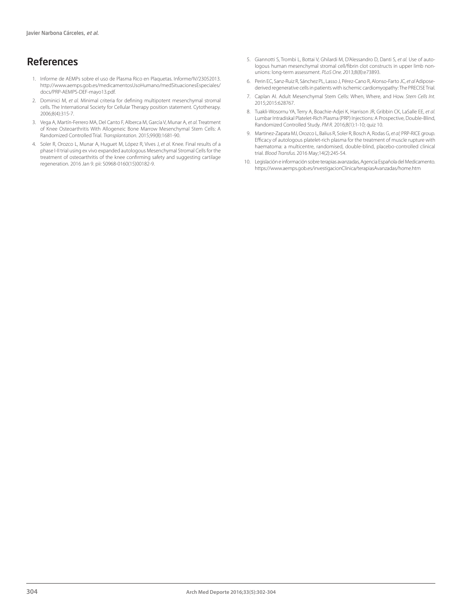### References

- 1. Informe de AEMPs sobre el uso de Plasma Rico en Plaquetas. Informe/IV/23052013. http://www.aemps.gob.es/medicamentosUsoHumano/medSituacionesEspeciales/ docs/PRP-AEMPS-DEF-mayo13.pdf.
- 2. Dominici M, et al. Minimal criteria for defining multipotent mesenchymal stromal cells. The International Society for Cellular Therapy position statement. Cytotherapy. 2006;8(4):315-7.
- 3. Vega A, Martín-Ferrero MA, Del Canto F, Alberca M, García V, Munar A, *et al.* Treatment of Knee Osteoarthritis With Allogeneic Bone Marrow Mesenchymal Stem Cells: A Randomized Controlled Trial. *Trans plantation.* 2015;99(8):1681-90.
- 4. Soler R, Orozco L, Munar A, Huguet M, López R, Vives J, *et al*. Knee. Final results of a phase I-II trial using ex vivo expanded autologous Mesenchymal Stromal Cells for the treatment of osteoarthritis of the knee confirming safety and suggesting cartilage regeneration. 2016 Jan 9. pii: S0968-0160(15)00182-9.
- 5. Giannotti S, Trombi L, Bottai V, Ghilardi M, D'Alessandro D, Danti S, *et al.* Use of autologous human mesenchymal stromal cell/fibrin clot constructs in upper limb nonunions: long-term assessment. *PLoS One. 2*013;8(8):e73893.
- 6. Perin EC, Sanz-Ruiz R, Sánchez PL, Lasso J, Pérez-Cano R, Alonso-Farto JC*, et al* Adiposederived regenerative cells in patients with ischemic cardiomyopathy: The PRECISE Trial.
- 7. Caplan AI. Adult Mesenchymal Stem Cells: When, Where, and How. *Stem Cells Int.*  2015;2015:628767.
- 8. Tuakli-Wosornu YA, Terry A, Boachie-Adjei K, Harrison JR, Gribbin CK, LaSalle EE, *et al.*  Lumbar Intradiskal Platelet-Rich Plasma (PRP) Injections: A Prospective, Double-Blind, Randomized Controlled Study. *PM R.* 2016;8(1):1-10; quiz 10.
- 9. Martinez-Zapata MJ, Orozco L, Balius R, Soler R, Bosch A, Rodas G, *et al;* PRP-RICE group. Efficacy of autologous platelet-rich plasma for the treatment of muscle rupture with haematoma: a multicentre, randomised, double-blind, placebo-controlled clinical trial. *Blood Transfus.* 2016 May;14(2):245-54.
- 10. Legislación e información sobre terapias avanzadas, Agencia Española del Medicamento. https://www.aemps.gob.es/investigacionClinica/terapiasAvanzadas/home.htm